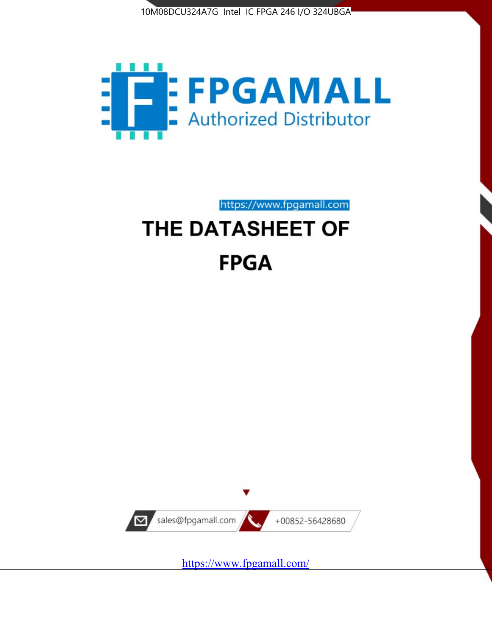



https://www.fpgamall.com

# THE DATASHEET OF **FPGA**



<https://www.fpgamall.com/>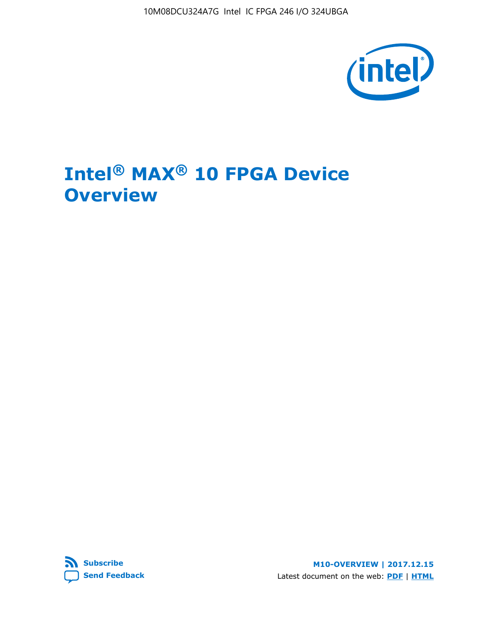10M08DCU324A7G Intel IC FPGA 246 I/O 324UBGA



## **Intel® MAX® 10 FPGA Device Overview**



**M10-OVERVIEW | 2017.12.15** Latest document on the web: **[PDF](https://www.altera.com/en_US/pdfs/literature/hb/max-10/m10_overview.pdf)** | **[HTML](https://www.altera.com/documentation/myt1396938463674.html)**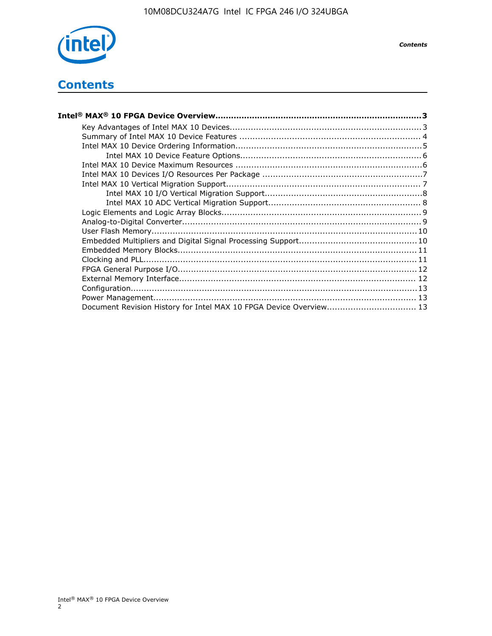

## **Contents**

| Intel® MAX® 10 FPGA Device Overview……………………………………………………………………………3  |  |
|--------------------------------------------------------------------|--|
|                                                                    |  |
|                                                                    |  |
|                                                                    |  |
|                                                                    |  |
|                                                                    |  |
|                                                                    |  |
|                                                                    |  |
|                                                                    |  |
|                                                                    |  |
|                                                                    |  |
|                                                                    |  |
|                                                                    |  |
|                                                                    |  |
|                                                                    |  |
|                                                                    |  |
|                                                                    |  |
|                                                                    |  |
|                                                                    |  |
|                                                                    |  |
| Document Revision History for Intel MAX 10 FPGA Device Overview 13 |  |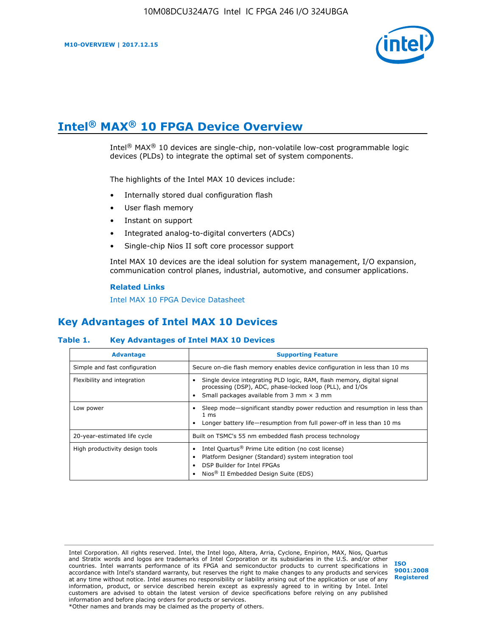

## **Intel® MAX® 10 FPGA Device Overview**

Intel<sup>®</sup> MAX<sup>®</sup> 10 devices are single-chip, non-volatile low-cost programmable logic devices (PLDs) to integrate the optimal set of system components.

The highlights of the Intel MAX 10 devices include:

- Internally stored dual configuration flash
- User flash memory
- Instant on support
- Integrated analog-to-digital converters (ADCs)
- Single-chip Nios II soft core processor support

Intel MAX 10 devices are the ideal solution for system management, I/O expansion, communication control planes, industrial, automotive, and consumer applications.

#### **Related Links**

[Intel MAX 10 FPGA Device Datasheet](https://www.altera.com/documentation/mcn1397700832153.html#mcn1397643748870)

## **Key Advantages of Intel MAX 10 Devices**

#### **Table 1. Key Advantages of Intel MAX 10 Devices**

| <b>Advantage</b>               | <b>Supporting Feature</b>                                                                                                                                                                                  |
|--------------------------------|------------------------------------------------------------------------------------------------------------------------------------------------------------------------------------------------------------|
| Simple and fast configuration  | Secure on-die flash memory enables device configuration in less than 10 ms                                                                                                                                 |
| Flexibility and integration    | Single device integrating PLD logic, RAM, flash memory, digital signal<br>processing (DSP), ADC, phase-locked loop (PLL), and I/Os<br>Small packages available from 3 mm $\times$ 3 mm                     |
| Low power                      | Sleep mode—significant standby power reduction and resumption in less than<br>$1 \text{ ms}$<br>Longer battery life-resumption from full power-off in less than 10 ms                                      |
| 20-year-estimated life cycle   | Built on TSMC's 55 nm embedded flash process technology                                                                                                                                                    |
| High productivity design tools | Intel Quartus <sup>®</sup> Prime Lite edition (no cost license)<br>Platform Designer (Standard) system integration tool<br>DSP Builder for Intel FPGAs<br>Nios <sup>®</sup> II Embedded Design Suite (EDS) |

Intel Corporation. All rights reserved. Intel, the Intel logo, Altera, Arria, Cyclone, Enpirion, MAX, Nios, Quartus and Stratix words and logos are trademarks of Intel Corporation or its subsidiaries in the U.S. and/or other countries. Intel warrants performance of its FPGA and semiconductor products to current specifications in accordance with Intel's standard warranty, but reserves the right to make changes to any products and services at any time without notice. Intel assumes no responsibility or liability arising out of the application or use of any information, product, or service described herein except as expressly agreed to in writing by Intel. Intel customers are advised to obtain the latest version of device specifications before relying on any published information and before placing orders for products or services. \*Other names and brands may be claimed as the property of others.

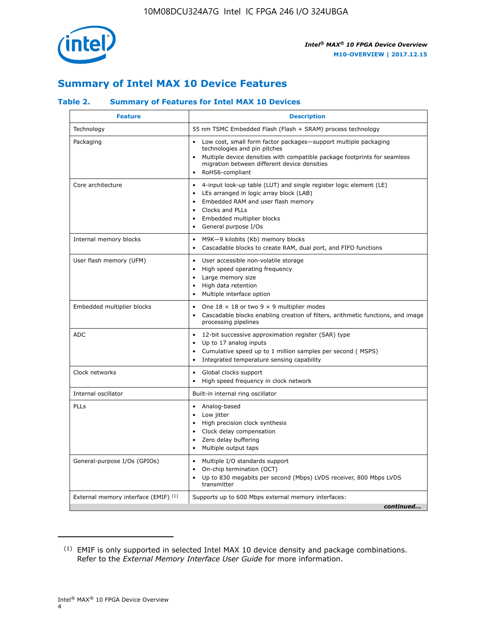

## **Summary of Intel MAX 10 Device Features**

#### **Table 2. Summary of Features for Intel MAX 10 Devices**

| <b>Feature</b>                       | <b>Description</b>                                                                                                                                                                                                                                                                                         |
|--------------------------------------|------------------------------------------------------------------------------------------------------------------------------------------------------------------------------------------------------------------------------------------------------------------------------------------------------------|
| Technology                           | 55 nm TSMC Embedded Flash (Flash + SRAM) process technology                                                                                                                                                                                                                                                |
| Packaging                            | Low cost, small form factor packages-support multiple packaging<br>technologies and pin pitches<br>Multiple device densities with compatible package footprints for seamless<br>migration between different device densities<br>RoHS6-compliant                                                            |
| Core architecture                    | 4-input look-up table (LUT) and single register logic element (LE)<br>$\bullet$<br>LEs arranged in logic array block (LAB)<br>$\bullet$<br>Embedded RAM and user flash memory<br>$\bullet$<br>Clocks and PLLs<br>$\bullet$<br>Embedded multiplier blocks<br>$\bullet$<br>General purpose I/Os<br>$\bullet$ |
| Internal memory blocks               | M9K-9 kilobits (Kb) memory blocks<br>$\bullet$<br>Cascadable blocks to create RAM, dual port, and FIFO functions<br>$\bullet$                                                                                                                                                                              |
| User flash memory (UFM)              | User accessible non-volatile storage<br>$\bullet$<br>High speed operating frequency<br>$\bullet$<br>Large memory size<br>High data retention<br>$\bullet$<br>Multiple interface option                                                                                                                     |
| Embedded multiplier blocks           | One $18 \times 18$ or two 9 $\times$ 9 multiplier modes<br>$\bullet$<br>Cascadable blocks enabling creation of filters, arithmetic functions, and image<br>processing pipelines                                                                                                                            |
| <b>ADC</b>                           | 12-bit successive approximation register (SAR) type<br>$\bullet$<br>Up to 17 analog inputs<br>$\bullet$<br>Cumulative speed up to 1 million samples per second (MSPS)<br>Integrated temperature sensing capability<br>$\bullet$                                                                            |
| Clock networks                       | Global clocks support<br>$\bullet$<br>High speed frequency in clock network                                                                                                                                                                                                                                |
| Internal oscillator                  | Built-in internal ring oscillator                                                                                                                                                                                                                                                                          |
| PLLs                                 | • Analog-based<br>Low jitter<br>$\bullet$<br>High precision clock synthesis<br>$\bullet$<br>Clock delay compensation<br>$\bullet$<br>Zero delay buffering<br>$\bullet$<br>Multiple output taps<br>$\bullet$                                                                                                |
| General-purpose I/Os (GPIOs)         | • Multiple I/O standards support<br>On-chip termination (OCT)<br>$\bullet$<br>Up to 830 megabits per second (Mbps) LVDS receiver, 800 Mbps LVDS<br>transmitter                                                                                                                                             |
| External memory interface (EMIF) (1) | Supports up to 600 Mbps external memory interfaces:<br>continued                                                                                                                                                                                                                                           |

<sup>(1)</sup> EMIF is only supported in selected Intel MAX 10 device density and package combinations. Refer to the *External Memory Interface User Guide* for more information.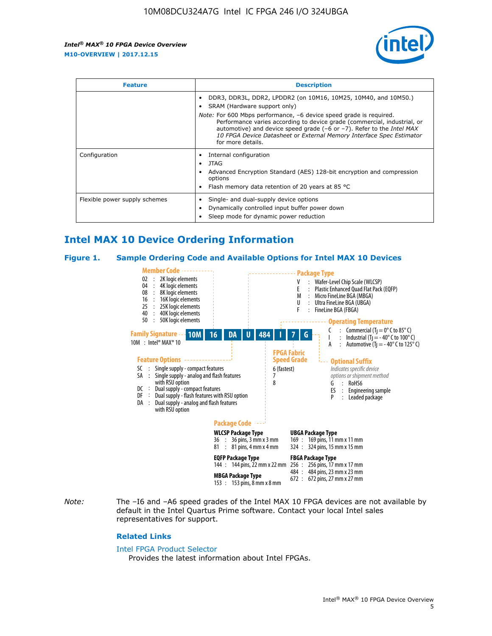

| <b>Feature</b>                | <b>Description</b>                                                                                                                                                                                                                                                                                                                                                                                                          |  |  |  |
|-------------------------------|-----------------------------------------------------------------------------------------------------------------------------------------------------------------------------------------------------------------------------------------------------------------------------------------------------------------------------------------------------------------------------------------------------------------------------|--|--|--|
|                               | DDR3, DDR3L, DDR2, LPDDR2 (on 10M16, 10M25, 10M40, and 10M50.)<br>SRAM (Hardware support only)<br><i>Note:</i> For 600 Mbps performance, -6 device speed grade is required.<br>Performance varies according to device grade (commercial, industrial, or<br>automotive) and device speed grade $(-6 \text{ or } -7)$ . Refer to the <i>Intel MAX</i><br>10 FPGA Device Datasheet or External Memory Interface Spec Estimator |  |  |  |
|                               | for more details.                                                                                                                                                                                                                                                                                                                                                                                                           |  |  |  |
| Configuration                 | Internal configuration<br>JTAG<br>٠<br>Advanced Encryption Standard (AES) 128-bit encryption and compression<br>options<br>Flash memory data retention of 20 years at 85 °C                                                                                                                                                                                                                                                 |  |  |  |
| Flexible power supply schemes | Single- and dual-supply device options<br>Dynamically controlled input buffer power down<br>Sleep mode for dynamic power reduction                                                                                                                                                                                                                                                                                          |  |  |  |

## **Intel MAX 10 Device Ordering Information**

#### **Figure 1. Sample Ordering Code and Available Options for Intel MAX 10 Devices**



*Note:* The –I6 and –A6 speed grades of the Intel MAX 10 FPGA devices are not available by default in the Intel Quartus Prime software. Contact your local Intel sales representatives for support.

#### **Related Links**

#### [Intel FPGA Product Selector](http://www.altera.com/products/selector/psg-selector.html)

Provides the latest information about Intel FPGAs.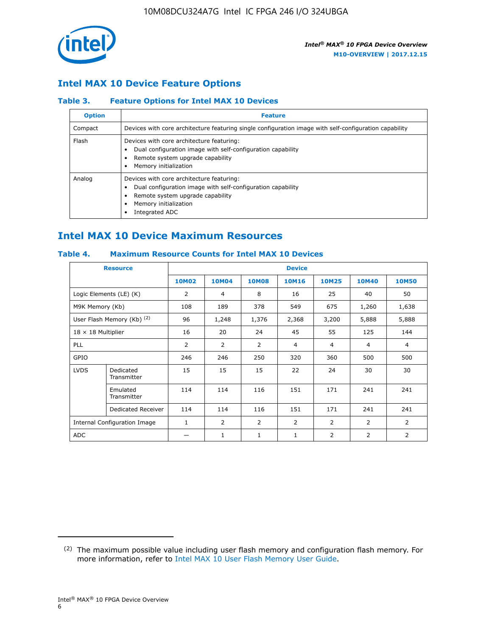

### **Intel MAX 10 Device Feature Options**

#### **Table 3. Feature Options for Intel MAX 10 Devices**

| <b>Option</b> | <b>Feature</b>                                                                                                                                                                          |
|---------------|-----------------------------------------------------------------------------------------------------------------------------------------------------------------------------------------|
| Compact       | Devices with core architecture featuring single configuration image with self-configuration capability                                                                                  |
| Flash         | Devices with core architecture featuring:<br>Dual configuration image with self-configuration capability<br>Remote system upgrade capability<br>Memory initialization                   |
| Analog        | Devices with core architecture featuring:<br>Dual configuration image with self-configuration capability<br>Remote system upgrade capability<br>Memory initialization<br>Integrated ADC |

## **Intel MAX 10 Device Maximum Resources**

#### **Table 4. Maximum Resource Counts for Intel MAX 10 Devices**

|                           | <b>Resource</b>              | <b>Device</b> |                |              |                |                |              |                |
|---------------------------|------------------------------|---------------|----------------|--------------|----------------|----------------|--------------|----------------|
|                           |                              | <b>10M02</b>  | 10M04          | <b>10M08</b> | <b>10M16</b>   | <b>10M25</b>   | <b>10M40</b> | <b>10M50</b>   |
|                           | Logic Elements (LE) (K)      | 2             | 4              | 8            | 16             | 25             | 40           | 50             |
| M9K Memory (Kb)           |                              | 108           | 189            | 378          | 549            | 675            | 1,260        | 1,638          |
|                           | User Flash Memory (Kb) (2)   | 96            | 1,248          | 1,376        | 2,368          | 3,200          | 5,888        | 5,888          |
| $18 \times 18$ Multiplier |                              | 16            | 20             | 24           | 45             | 55             | 125          | 144            |
| <b>PLL</b>                |                              | 2             | $\overline{2}$ | 2            | $\overline{4}$ | $\overline{4}$ | 4            | $\overline{4}$ |
| GPIO                      |                              | 246           | 246            | 250          | 320            | 360            | 500          | 500            |
| <b>LVDS</b>               | Dedicated<br>Transmitter     | 15            | 15             | 15           | 22             | 24             | 30           | 30             |
|                           | Emulated<br>Transmitter      | 114           | 114            | 116          | 151            | 171            | 241          | 241            |
|                           | Dedicated Receiver           | 114           | 114            | 116          | 151            | 171            | 241          | 241            |
|                           | Internal Configuration Image | $\mathbf{1}$  | $\overline{2}$ | 2            | $\overline{2}$ | $\overline{2}$ | 2            | $\overline{2}$ |
| ADC                       |                              |               | 1              | $\mathbf{1}$ | $\mathbf{1}$   | 2              | 2            | 2              |

<sup>(2)</sup> The maximum possible value including user flash memory and configuration flash memory. For more information, refer to [Intel MAX 10 User Flash Memory User Guide](https://www.altera.com/documentation/vgo1395753117436.html#vgo1395811844282).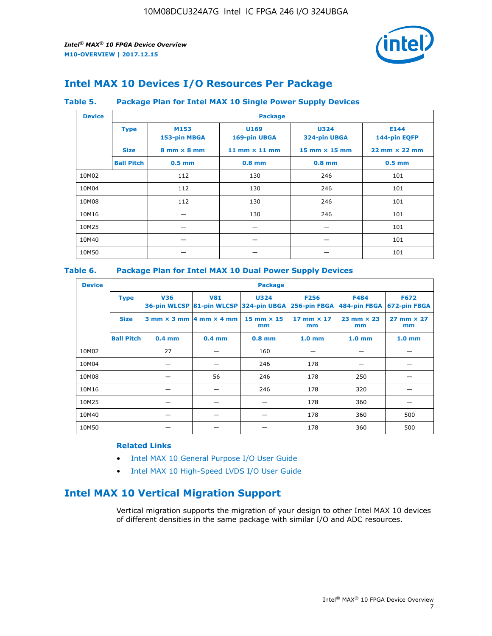

## **Intel MAX 10 Devices I/O Resources Per Package**

#### **Table 5. Package Plan for Intel MAX 10 Single Power Supply Devices**

| <b>Device</b> | <b>Package</b>    |                                    |                      |                             |                                      |  |  |
|---------------|-------------------|------------------------------------|----------------------|-----------------------------|--------------------------------------|--|--|
|               | <b>Type</b>       | M153<br>153-pin MBGA               | U169<br>169-pin UBGA | <b>U324</b><br>324-pin UBGA | E144<br>144-pin EQFP                 |  |  |
|               | <b>Size</b>       | $8 \text{ mm} \times 8 \text{ mm}$ | 11 mm $\times$ 11 mm | $15$ mm $\times$ 15 mm      | $22 \text{ mm} \times 22 \text{ mm}$ |  |  |
|               | <b>Ball Pitch</b> | $0.5$ mm                           | $0.8$ mm             | $0.8$ mm                    | $0.5$ mm                             |  |  |
| 10M02         |                   | 112                                | 130                  | 246                         | 101                                  |  |  |
| 10M04         |                   | 112                                | 130                  | 246                         | 101                                  |  |  |
| 10M08         | 112<br>130        |                                    | 246                  | 101                         |                                      |  |  |
| 10M16         |                   |                                    | 130                  | 246                         | 101                                  |  |  |
| 10M25         |                   |                                    |                      |                             | 101                                  |  |  |
| 10M40         |                   |                                    |                      |                             | 101                                  |  |  |
| 10M50         |                   |                                    |                      |                             | 101                                  |  |  |

#### **Table 6. Package Plan for Intel MAX 10 Dual Power Supply Devices**

| <b>Device</b> |                   | <b>Package</b> |                                            |                                                                    |                         |                           |                             |  |  |
|---------------|-------------------|----------------|--------------------------------------------|--------------------------------------------------------------------|-------------------------|---------------------------|-----------------------------|--|--|
|               | <b>Type</b>       | <b>V36</b>     | <b>V81</b>                                 | <b>U324</b><br>36-pin WLCSP 81-pin WLCSP 324-pin UBGA 256-pin FBGA | <b>F256</b>             | F484<br>484-pin FBGA      | <b>F672</b><br>672-pin FBGA |  |  |
|               | <b>Size</b>       |                | $3$ mm $\times$ 3 mm $ 4$ mm $\times$ 4 mm | 15 mm $\times$ 15<br>mm                                            | 17 mm $\times$ 17<br>mm | $23$ mm $\times$ 23<br>mm | $27$ mm $\times$ 27<br>mm   |  |  |
|               | <b>Ball Pitch</b> | $0.4$ mm       | $0.4$ mm                                   | $0.8$ mm                                                           | 1.0 <sub>mm</sub>       | 1.0 <sub>mm</sub>         | 1.0 <sub>mm</sub>           |  |  |
| 10M02         |                   | 27             |                                            | 160                                                                |                         |                           |                             |  |  |
| 10M04         |                   |                |                                            | 246                                                                | 178                     |                           |                             |  |  |
| 10M08         |                   |                | 56                                         | 246                                                                | 178                     | 250                       |                             |  |  |
| 10M16         |                   |                |                                            | 246                                                                | 178                     | 320                       |                             |  |  |
| 10M25         |                   |                |                                            |                                                                    | 178                     | 360                       |                             |  |  |
| 10M40         |                   |                |                                            |                                                                    | 178                     | 360                       | 500                         |  |  |
| 10M50         |                   |                |                                            |                                                                    | 178                     | 360                       | 500                         |  |  |

#### **Related Links**

- [Intel MAX 10 General Purpose I/O User Guide](https://www.altera.com/documentation/sam1393999966669.html#sam1394000084476)
- [Intel MAX 10 High-Speed LVDS I/O User Guide](https://www.altera.com/documentation/sam1394433606063.html#sam1394433911642)

## **Intel MAX 10 Vertical Migration Support**

Vertical migration supports the migration of your design to other Intel MAX 10 devices of different densities in the same package with similar I/O and ADC resources.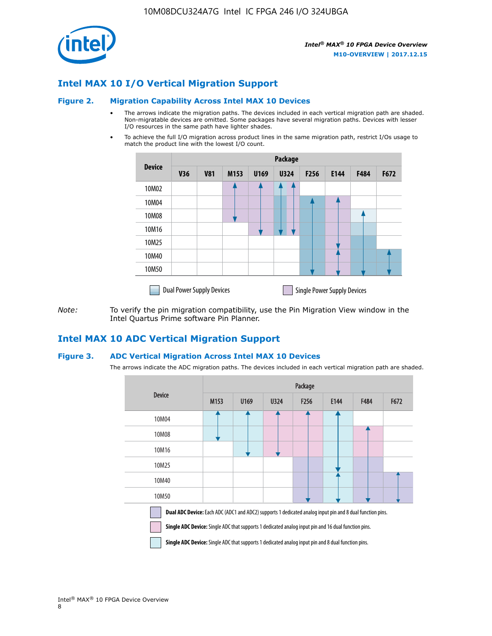

## **Intel MAX 10 I/O Vertical Migration Support**

#### **Figure 2. Migration Capability Across Intel MAX 10 Devices**

- The arrows indicate the migration paths. The devices included in each vertical migration path are shaded. Non-migratable devices are omitted. Some packages have several migration paths. Devices with lesser I/O resources in the same path have lighter shades.
- To achieve the full I/O migration across product lines in the same migration path, restrict I/Os usage to match the product line with the lowest I/O count.

|               | Package                          |            |      |      |             |                  |                                    |      |      |
|---------------|----------------------------------|------------|------|------|-------------|------------------|------------------------------------|------|------|
| <b>Device</b> | <b>V36</b>                       | <b>V81</b> | M153 | U169 | <b>U324</b> | F <sub>256</sub> | E144                               | F484 | F672 |
| 10M02         |                                  |            |      |      |             |                  |                                    |      |      |
| 10M04         |                                  |            |      |      |             |                  |                                    |      |      |
| 10M08         |                                  |            |      |      |             |                  |                                    |      |      |
| 10M16         |                                  |            |      |      |             |                  |                                    |      |      |
| 10M25         |                                  |            |      |      |             |                  |                                    |      |      |
| 10M40         |                                  |            |      |      |             |                  |                                    |      |      |
| 10M50         |                                  |            |      |      |             |                  |                                    |      |      |
|               | <b>Dual Power Supply Devices</b> |            |      |      |             |                  | <b>Single Power Supply Devices</b> |      |      |

*Note:* To verify the pin migration compatibility, use the Pin Migration View window in the Intel Quartus Prime software Pin Planner.

#### **Intel MAX 10 ADC Vertical Migration Support**

#### **Figure 3. ADC Vertical Migration Across Intel MAX 10 Devices**

The arrows indicate the ADC migration paths. The devices included in each vertical migration path are shaded.

|                                                                                                                                                                                                                  | Package          |      |      |                  |      |      |      |  |
|------------------------------------------------------------------------------------------------------------------------------------------------------------------------------------------------------------------|------------------|------|------|------------------|------|------|------|--|
| <b>Device</b>                                                                                                                                                                                                    | M <sub>153</sub> | U169 | U324 | F <sub>256</sub> | E144 | F484 | F672 |  |
| 10M04                                                                                                                                                                                                            |                  |      |      |                  |      |      |      |  |
| 10M08                                                                                                                                                                                                            |                  |      |      |                  |      |      |      |  |
| 10M16                                                                                                                                                                                                            |                  |      |      |                  |      |      |      |  |
| 10M25                                                                                                                                                                                                            |                  |      |      |                  |      |      |      |  |
| 10M40                                                                                                                                                                                                            |                  |      |      |                  |      |      |      |  |
| 10M50                                                                                                                                                                                                            |                  |      |      |                  |      |      |      |  |
| Dual ADC Device: Each ADC (ADC1 and ADC2) supports 1 dedicated analog input pin and 8 dual function pins.<br>Single ADC Device: Single ADC that supports 1 dedicated analog input pin and 16 dual function pins. |                  |      |      |                  |      |      |      |  |

**Single ADC Device:** Single ADC that supports 1 dedicated analog input pin and 8 dual function pins.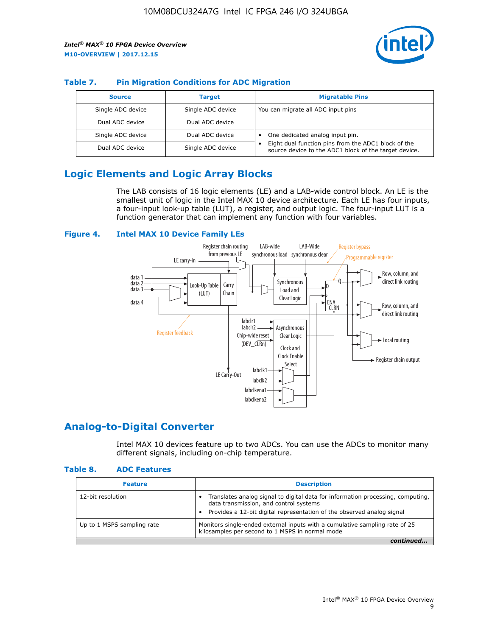

#### **Table 7. Pin Migration Conditions for ADC Migration**

| <b>Source</b>     | <b>Target</b>     | <b>Migratable Pins</b>                                                                                            |
|-------------------|-------------------|-------------------------------------------------------------------------------------------------------------------|
| Single ADC device | Single ADC device | You can migrate all ADC input pins                                                                                |
| Dual ADC device   | Dual ADC device   |                                                                                                                   |
| Single ADC device | Dual ADC device   | One dedicated analog input pin.                                                                                   |
| Dual ADC device   | Single ADC device | Eight dual function pins from the ADC1 block of the<br>٠<br>source device to the ADC1 block of the target device. |

## **Logic Elements and Logic Array Blocks**

The LAB consists of 16 logic elements (LE) and a LAB-wide control block. An LE is the smallest unit of logic in the Intel MAX 10 device architecture. Each LE has four inputs, a four-input look-up table (LUT), a register, and output logic. The four-input LUT is a function generator that can implement any function with four variables.

#### **Figure 4. Intel MAX 10 Device Family LEs**



#### **Analog-to-Digital Converter**

Intel MAX 10 devices feature up to two ADCs. You can use the ADCs to monitor many different signals, including on-chip temperature.

#### **Table 8. ADC Features**

| <b>Feature</b>             | <b>Description</b>                                                                                                                                                                                  |
|----------------------------|-----------------------------------------------------------------------------------------------------------------------------------------------------------------------------------------------------|
| 12-bit resolution          | Translates analog signal to digital data for information processing, computing,<br>data transmission, and control systems<br>Provides a 12-bit digital representation of the observed analog signal |
| Up to 1 MSPS sampling rate | Monitors single-ended external inputs with a cumulative sampling rate of 25<br>kilosamples per second to 1 MSPS in normal mode                                                                      |
|                            |                                                                                                                                                                                                     |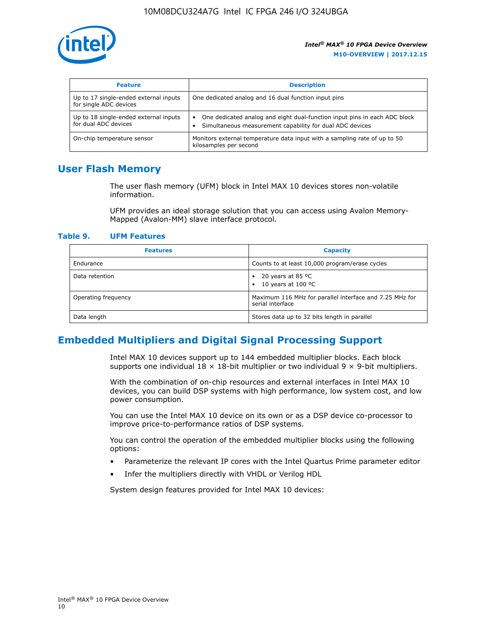

| <b>Feature</b>                                                  | <b>Description</b>                                                                                                                         |
|-----------------------------------------------------------------|--------------------------------------------------------------------------------------------------------------------------------------------|
| Up to 17 single-ended external inputs<br>for single ADC devices | One dedicated analog and 16 dual function input pins                                                                                       |
| Up to 18 single-ended external inputs<br>for dual ADC devices   | One dedicated analog and eight dual-function input pins in each ADC block<br>٠<br>Simultaneous measurement capability for dual ADC devices |
| On-chip temperature sensor                                      | Monitors external temperature data input with a sampling rate of up to 50<br>kilosamples per second                                        |

## **User Flash Memory**

The user flash memory (UFM) block in Intel MAX 10 devices stores non-volatile information.

UFM provides an ideal storage solution that you can access using Avalon Memory-Mapped (Avalon-MM) slave interface protocol.

#### **Table 9. UFM Features**

| <b>Features</b>     | <b>Capacity</b>                                                             |
|---------------------|-----------------------------------------------------------------------------|
| Endurance           | Counts to at least 10,000 program/erase cycles                              |
| Data retention      | 20 years at 85 °C<br>٠<br>10 years at 100 °C<br>$\bullet$                   |
| Operating frequency | Maximum 116 MHz for parallel interface and 7.25 MHz for<br>serial interface |
| Data length         | Stores data up to 32 bits length in parallel                                |

### **Embedded Multipliers and Digital Signal Processing Support**

Intel MAX 10 devices support up to 144 embedded multiplier blocks. Each block supports one individual  $18 \times 18$ -bit multiplier or two individual  $9 \times 9$ -bit multipliers.

With the combination of on-chip resources and external interfaces in Intel MAX 10 devices, you can build DSP systems with high performance, low system cost, and low power consumption.

You can use the Intel MAX 10 device on its own or as a DSP device co-processor to improve price-to-performance ratios of DSP systems.

You can control the operation of the embedded multiplier blocks using the following options:

- Parameterize the relevant IP cores with the Intel Quartus Prime parameter editor
- Infer the multipliers directly with VHDL or Verilog HDL

System design features provided for Intel MAX 10 devices: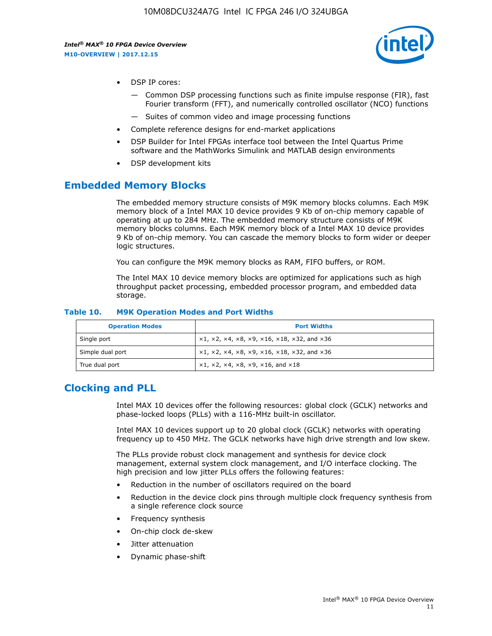

- DSP IP cores:
	- Common DSP processing functions such as finite impulse response (FIR), fast Fourier transform (FFT), and numerically controlled oscillator (NCO) functions
	- Suites of common video and image processing functions
- Complete reference designs for end-market applications
- DSP Builder for Intel FPGAs interface tool between the Intel Quartus Prime software and the MathWorks Simulink and MATLAB design environments
- DSP development kits

#### **Embedded Memory Blocks**

The embedded memory structure consists of M9K memory blocks columns. Each M9K memory block of a Intel MAX 10 device provides 9 Kb of on-chip memory capable of operating at up to 284 MHz. The embedded memory structure consists of M9K memory blocks columns. Each M9K memory block of a Intel MAX 10 device provides 9 Kb of on-chip memory. You can cascade the memory blocks to form wider or deeper logic structures.

You can configure the M9K memory blocks as RAM, FIFO buffers, or ROM.

The Intel MAX 10 device memory blocks are optimized for applications such as high throughput packet processing, embedded processor program, and embedded data storage.

| <b>Operation Modes</b> | <b>Port Widths</b>                                                            |
|------------------------|-------------------------------------------------------------------------------|
| Single port            | $x1, x2, x4, x8, x9, x16, x18, x32, and x36$                                  |
| Simple dual port       | $x1, x2, x4, x8, x9, x16, x18, x32, and x36$                                  |
| True dual port         | $\times1, \times2, \times4, \times8, \times9, \times16, \text{and } \times18$ |

#### **Table 10. M9K Operation Modes and Port Widths**

## **Clocking and PLL**

Intel MAX 10 devices offer the following resources: global clock (GCLK) networks and phase-locked loops (PLLs) with a 116-MHz built-in oscillator.

Intel MAX 10 devices support up to 20 global clock (GCLK) networks with operating frequency up to 450 MHz. The GCLK networks have high drive strength and low skew.

The PLLs provide robust clock management and synthesis for device clock management, external system clock management, and I/O interface clocking. The high precision and low jitter PLLs offers the following features:

- Reduction in the number of oscillators required on the board
- Reduction in the device clock pins through multiple clock frequency synthesis from a single reference clock source
- Frequency synthesis
- On-chip clock de-skew
- Jitter attenuation
- Dynamic phase-shift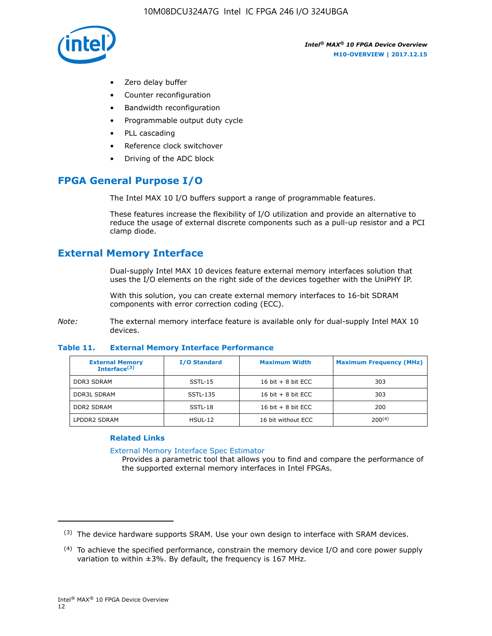

- Zero delay buffer
- Counter reconfiguration
- Bandwidth reconfiguration
- Programmable output duty cycle
- PLL cascading
- Reference clock switchover
- Driving of the ADC block

## **FPGA General Purpose I/O**

The Intel MAX 10 I/O buffers support a range of programmable features.

These features increase the flexibility of I/O utilization and provide an alternative to reduce the usage of external discrete components such as a pull-up resistor and a PCI clamp diode.

## **External Memory Interface**

Dual-supply Intel MAX 10 devices feature external memory interfaces solution that uses the I/O elements on the right side of the devices together with the UniPHY IP.

With this solution, you can create external memory interfaces to 16-bit SDRAM components with error correction coding (ECC).

*Note:* The external memory interface feature is available only for dual-supply Intel MAX 10 devices.

#### **Table 11. External Memory Interface Performance**

| <b>External Memory</b><br>Interface <sup>(3)</sup> | <b>I/O Standard</b> | <b>Maximum Width</b> | <b>Maximum Frequency (MHz)</b> |
|----------------------------------------------------|---------------------|----------------------|--------------------------------|
| <b>DDR3 SDRAM</b>                                  | SSTL-15             | 16 bit $+8$ bit ECC  | 303                            |
| <b>DDR3L SDRAM</b>                                 | SSTL-135            | 16 bit $+8$ bit ECC  | 303                            |
| <b>DDR2 SDRAM</b>                                  | SSTL-18             | 16 bit $+8$ bit ECC  | 200                            |
| LPDDR2 SDRAM                                       | $H SUL-12$          | 16 bit without ECC   | $200^{(4)}$                    |

#### **Related Links**

[External Memory Interface Spec Estimator](http://www.altera.com/technology/memory/estimator/mem-emif-index.html)

Provides a parametric tool that allows you to find and compare the performance of the supported external memory interfaces in Intel FPGAs.

 $(3)$  The device hardware supports SRAM. Use your own design to interface with SRAM devices.

 $(4)$  To achieve the specified performance, constrain the memory device I/O and core power supply variation to within ±3%. By default, the frequency is 167 MHz.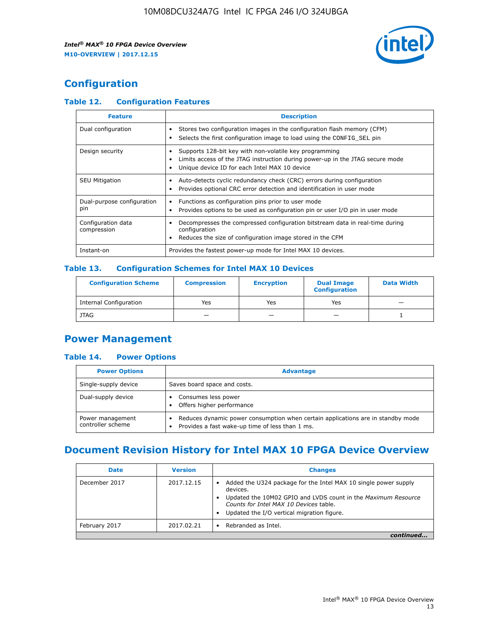

## **Configuration**

#### **Table 12. Configuration Features**

| <b>Feature</b>                    | <b>Description</b>                                                                                                                                                                       |
|-----------------------------------|------------------------------------------------------------------------------------------------------------------------------------------------------------------------------------------|
| Dual configuration                | Stores two configuration images in the configuration flash memory (CFM)<br>Selects the first configuration image to load using the CONFIG SEL pin                                        |
| Design security                   | Supports 128-bit key with non-volatile key programming<br>Limits access of the JTAG instruction during power-up in the JTAG secure mode<br>Unique device ID for each Intel MAX 10 device |
| <b>SEU Mitigation</b>             | Auto-detects cyclic redundancy check (CRC) errors during configuration<br>Provides optional CRC error detection and identification in user mode                                          |
| Dual-purpose configuration<br>pin | Functions as configuration pins prior to user mode<br>$\bullet$<br>Provides options to be used as configuration pin or user I/O pin in user mode                                         |
| Configuration data<br>compression | Decompresses the compressed configuration bitstream data in real-time during<br>configuration<br>Reduces the size of configuration image stored in the CFM                               |
| Instant-on                        | Provides the fastest power-up mode for Intel MAX 10 devices.                                                                                                                             |

#### **Table 13. Configuration Schemes for Intel MAX 10 Devices**

| <b>Configuration Scheme</b> | <b>Compression</b> | <b>Encryption</b> | <b>Dual Image</b><br><b>Configuration</b> | <b>Data Width</b> |
|-----------------------------|--------------------|-------------------|-------------------------------------------|-------------------|
| Internal Configuration      | Yes                | Yes               | Yes                                       |                   |
| <b>JTAG</b>                 | _                  |                   | -                                         |                   |

## **Power Management**

#### **Table 14. Power Options**

| <b>Power Options</b>                  | <b>Advantage</b>                                                                                                                        |  |
|---------------------------------------|-----------------------------------------------------------------------------------------------------------------------------------------|--|
| Single-supply device                  | Saves board space and costs.                                                                                                            |  |
| Dual-supply device                    | Consumes less power<br>Offers higher performance<br>$\bullet$                                                                           |  |
| Power management<br>controller scheme | Reduces dynamic power consumption when certain applications are in standby mode<br>Provides a fast wake-up time of less than 1 ms.<br>٠ |  |

## **Document Revision History for Intel MAX 10 FPGA Device Overview**

| <b>Date</b>   | <b>Version</b> | <b>Changes</b>                                                                                                                                                                                                                       |
|---------------|----------------|--------------------------------------------------------------------------------------------------------------------------------------------------------------------------------------------------------------------------------------|
| December 2017 | 2017.12.15     | Added the U324 package for the Intel MAX 10 single power supply<br>devices.<br>Updated the 10M02 GPIO and LVDS count in the Maximum Resource<br>Counts for Intel MAX 10 Devices table.<br>Updated the I/O vertical migration figure. |
| February 2017 | 2017.02.21     | Rebranded as Intel.                                                                                                                                                                                                                  |
|               |                |                                                                                                                                                                                                                                      |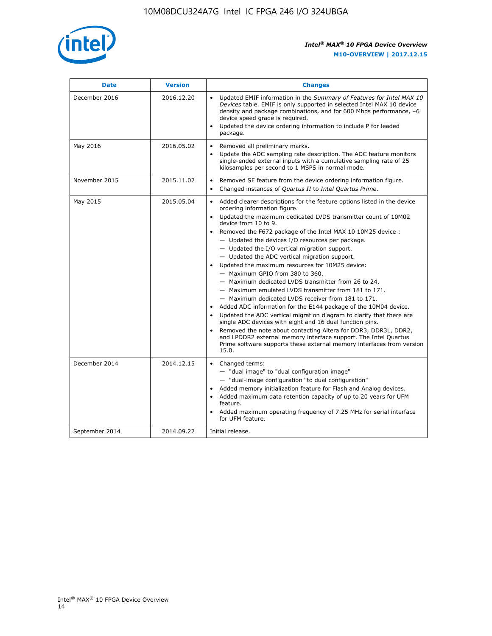

| <b>Date</b>    | <b>Version</b> | <b>Changes</b>                                                                                                                                                                                                                                                                                                                                                                                                                                                                                                                                                                                                                                                                                                                                                                                                                                                                                                                                                                                                                                                                                                  |
|----------------|----------------|-----------------------------------------------------------------------------------------------------------------------------------------------------------------------------------------------------------------------------------------------------------------------------------------------------------------------------------------------------------------------------------------------------------------------------------------------------------------------------------------------------------------------------------------------------------------------------------------------------------------------------------------------------------------------------------------------------------------------------------------------------------------------------------------------------------------------------------------------------------------------------------------------------------------------------------------------------------------------------------------------------------------------------------------------------------------------------------------------------------------|
| December 2016  | 2016.12.20     | • Updated EMIF information in the Summary of Features for Intel MAX 10<br>Devices table. EMIF is only supported in selected Intel MAX 10 device<br>density and package combinations, and for 600 Mbps performance, -6<br>device speed grade is required.<br>Updated the device ordering information to include P for leaded<br>package.                                                                                                                                                                                                                                                                                                                                                                                                                                                                                                                                                                                                                                                                                                                                                                         |
| May 2016       | 2016.05.02     | Removed all preliminary marks.<br>Update the ADC sampling rate description. The ADC feature monitors<br>single-ended external inputs with a cumulative sampling rate of 25<br>kilosamples per second to 1 MSPS in normal mode.                                                                                                                                                                                                                                                                                                                                                                                                                                                                                                                                                                                                                                                                                                                                                                                                                                                                                  |
| November 2015  | 2015.11.02     | Removed SF feature from the device ordering information figure.<br>$\bullet$<br>Changed instances of Quartus II to Intel Quartus Prime.<br>$\bullet$                                                                                                                                                                                                                                                                                                                                                                                                                                                                                                                                                                                                                                                                                                                                                                                                                                                                                                                                                            |
| May 2015       | 2015.05.04     | Added clearer descriptions for the feature options listed in the device<br>ordering information figure.<br>Updated the maximum dedicated LVDS transmitter count of 10M02<br>device from 10 to 9.<br>Removed the F672 package of the Intel MAX 10 10M25 device :<br>- Updated the devices I/O resources per package.<br>- Updated the I/O vertical migration support.<br>- Updated the ADC vertical migration support.<br>Updated the maximum resources for 10M25 device:<br>- Maximum GPIO from 380 to 360.<br>- Maximum dedicated LVDS transmitter from 26 to 24.<br>- Maximum emulated LVDS transmitter from 181 to 171.<br>- Maximum dedicated LVDS receiver from 181 to 171.<br>Added ADC information for the E144 package of the 10M04 device.<br>Updated the ADC vertical migration diagram to clarify that there are<br>single ADC devices with eight and 16 dual function pins.<br>Removed the note about contacting Altera for DDR3, DDR3L, DDR2,<br>and LPDDR2 external memory interface support. The Intel Quartus<br>Prime software supports these external memory interfaces from version<br>15.0. |
| December 2014  | 2014.12.15     | Changed terms:<br>- "dual image" to "dual configuration image"<br>- "dual-image configuration" to dual configuration"<br>Added memory initialization feature for Flash and Analog devices.<br>Added maximum data retention capacity of up to 20 years for UFM<br>feature.<br>Added maximum operating frequency of 7.25 MHz for serial interface<br>for UFM feature.                                                                                                                                                                                                                                                                                                                                                                                                                                                                                                                                                                                                                                                                                                                                             |
| September 2014 | 2014.09.22     | Initial release.                                                                                                                                                                                                                                                                                                                                                                                                                                                                                                                                                                                                                                                                                                                                                                                                                                                                                                                                                                                                                                                                                                |